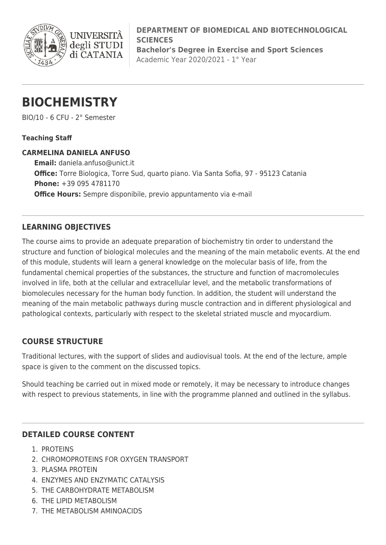

**DEPARTMENT OF BIOMEDICAL AND BIOTECHNOLOGICAL SCIENCES Bachelor's Degree in Exercise and Sport Sciences**

Academic Year 2020/2021 - 1° Year

# **BIOCHEMISTRY**

**INIVERS** 

degli STUDI di CATANIA

BIO/10 - 6 CFU - 2° Semester

### **Teaching Staff**

### **CARMELINA DANIELA ANFUSO**

**Email:** [daniela.anfuso@unict.it](mailto:daniela.anfuso@unict.it) **Office:** Torre Biologica, Torre Sud, quarto piano. Via Santa Sofia, 97 - 95123 Catania **Phone:** +39 095 4781170 **Office Hours:** Sempre disponibile, previo appuntamento via e-mail

## **LEARNING OBJECTIVES**

The course aims to provide an adequate preparation of biochemistry tin order to understand the structure and function of biological molecules and the meaning of the main metabolic events. At the end of this module, students will learn a general knowledge on the molecular basis of life, from the fundamental chemical properties of the substances, the structure and function of macromolecules involved in life, both at the cellular and extracellular level, and the metabolic transformations of biomolecules necessary for the human body function. In addition, the student will understand the meaning of the main metabolic pathways during muscle contraction and in different physiological and pathological contexts, particularly with respect to the skeletal striated muscle and myocardium.

## **COURSE STRUCTURE**

Traditional lectures, with the support of slides and audiovisual tools. At the end of the lecture, ample space is given to the comment on the discussed topics.

Should teaching be carried out in mixed mode or remotely, it may be necessary to introduce changes with respect to previous statements, in line with the programme planned and outlined in the syllabus.

## **DETAILED COURSE CONTENT**

- 1. PROTEINS
- 2. CHROMOPROTEINS FOR OXYGEN TRANSPORT
- 3. PLASMA PROTEIN
- 4. ENZYMES AND ENZYMATIC CATALYSIS
- 5. THE CARBOHYDRATE METABOLISM
- 6. THE LIPID METABOLISM
- 7. THE METABOLISM AMINOACIDS